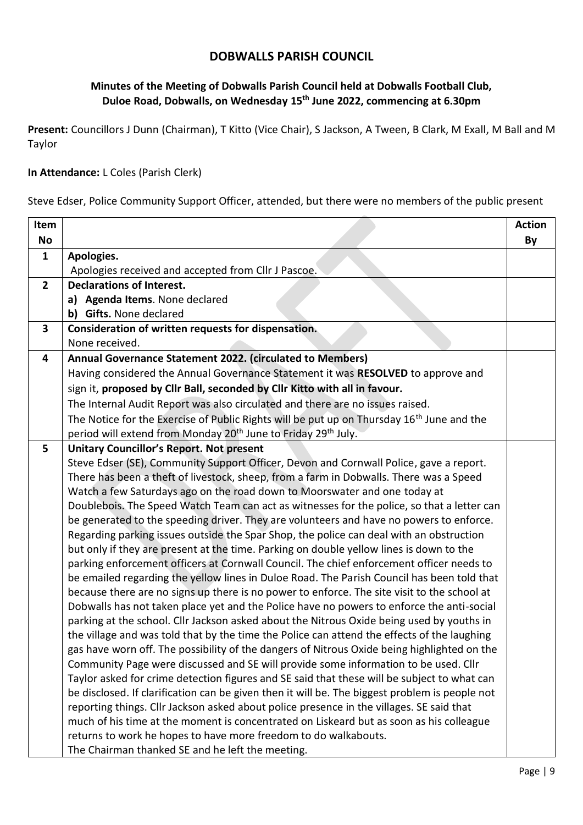## **DOBWALLS PARISH COUNCIL**

## **Minutes of the Meeting of Dobwalls Parish Council held at Dobwalls Football Club, Duloe Road, Dobwalls, on Wednesday 15th June 2022, commencing at 6.30pm**

**Present:** Councillors J Dunn (Chairman), T Kitto (Vice Chair), S Jackson, A Tween, B Clark, M Exall, M Ball and M Taylor

## **In Attendance:** L Coles (Parish Clerk)

Steve Edser, Police Community Support Officer, attended, but there were no members of the public present

| Item                    |                                                                                                                                                                                     | <b>Action</b> |
|-------------------------|-------------------------------------------------------------------------------------------------------------------------------------------------------------------------------------|---------------|
| <b>No</b>               |                                                                                                                                                                                     | By            |
| $\mathbf{1}$            | Apologies.                                                                                                                                                                          |               |
|                         | Apologies received and accepted from Cllr J Pascoe.                                                                                                                                 |               |
| 2 <sup>1</sup>          | <b>Declarations of Interest.</b>                                                                                                                                                    |               |
|                         | a) Agenda Items. None declared                                                                                                                                                      |               |
|                         | b) Gifts. None declared                                                                                                                                                             |               |
| $\overline{\mathbf{3}}$ | Consideration of written requests for dispensation.                                                                                                                                 |               |
|                         | None received.                                                                                                                                                                      |               |
| 4                       | Annual Governance Statement 2022. (circulated to Members)                                                                                                                           |               |
|                         | Having considered the Annual Governance Statement it was RESOLVED to approve and                                                                                                    |               |
|                         | sign it, proposed by Cllr Ball, seconded by Cllr Kitto with all in favour.                                                                                                          |               |
|                         | The Internal Audit Report was also circulated and there are no issues raised.                                                                                                       |               |
|                         | The Notice for the Exercise of Public Rights will be put up on Thursday 16 <sup>th</sup> June and the                                                                               |               |
|                         | period will extend from Monday 20 <sup>th</sup> June to Friday 29 <sup>th</sup> July.                                                                                               |               |
| 5                       | <b>Unitary Councillor's Report. Not present</b>                                                                                                                                     |               |
|                         | Steve Edser (SE), Community Support Officer, Devon and Cornwall Police, gave a report.                                                                                              |               |
|                         | There has been a theft of livestock, sheep, from a farm in Dobwalls. There was a Speed                                                                                              |               |
|                         | Watch a few Saturdays ago on the road down to Moorswater and one today at                                                                                                           |               |
|                         | Doublebois. The Speed Watch Team can act as witnesses for the police, so that a letter can                                                                                          |               |
|                         | be generated to the speeding driver. They are volunteers and have no powers to enforce.                                                                                             |               |
|                         | Regarding parking issues outside the Spar Shop, the police can deal with an obstruction                                                                                             |               |
|                         | but only if they are present at the time. Parking on double yellow lines is down to the                                                                                             |               |
|                         | parking enforcement officers at Cornwall Council. The chief enforcement officer needs to                                                                                            |               |
|                         | be emailed regarding the yellow lines in Duloe Road. The Parish Council has been told that                                                                                          |               |
|                         | because there are no signs up there is no power to enforce. The site visit to the school at                                                                                         |               |
|                         | Dobwalls has not taken place yet and the Police have no powers to enforce the anti-social                                                                                           |               |
|                         | parking at the school. Cllr Jackson asked about the Nitrous Oxide being used by youths in                                                                                           |               |
|                         | the village and was told that by the time the Police can attend the effects of the laughing                                                                                         |               |
|                         | gas have worn off. The possibility of the dangers of Nitrous Oxide being highlighted on the                                                                                         |               |
|                         | Community Page were discussed and SE will provide some information to be used. Cllr                                                                                                 |               |
|                         | Taylor asked for crime detection figures and SE said that these will be subject to what can                                                                                         |               |
|                         | be disclosed. If clarification can be given then it will be. The biggest problem is people not                                                                                      |               |
|                         | reporting things. Cllr Jackson asked about police presence in the villages. SE said that<br>much of his time at the moment is concentrated on Liskeard but as soon as his colleague |               |
|                         | returns to work he hopes to have more freedom to do walkabouts.                                                                                                                     |               |
|                         | The Chairman thanked SE and he left the meeting.                                                                                                                                    |               |
|                         |                                                                                                                                                                                     |               |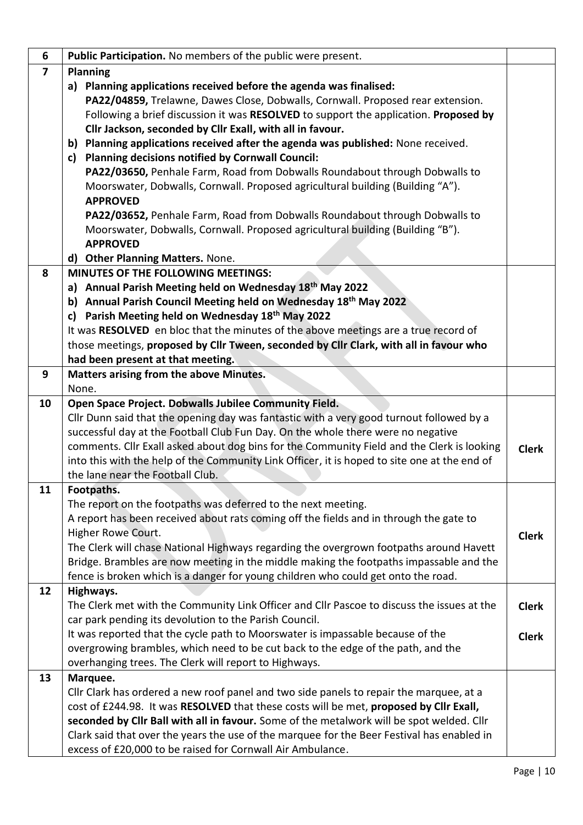| 6                       | Public Participation. No members of the public were present.                                 |              |
|-------------------------|----------------------------------------------------------------------------------------------|--------------|
| $\overline{\mathbf{z}}$ | <b>Planning</b>                                                                              |              |
|                         | Planning applications received before the agenda was finalised:<br>a)                        |              |
|                         | PA22/04859, Trelawne, Dawes Close, Dobwalls, Cornwall. Proposed rear extension.              |              |
|                         | Following a brief discussion it was RESOLVED to support the application. Proposed by         |              |
|                         | Cllr Jackson, seconded by Cllr Exall, with all in favour.                                    |              |
|                         | b) Planning applications received after the agenda was published: None received.             |              |
|                         | Planning decisions notified by Cornwall Council:<br>c)                                       |              |
|                         | PA22/03650, Penhale Farm, Road from Dobwalls Roundabout through Dobwalls to                  |              |
|                         | Moorswater, Dobwalls, Cornwall. Proposed agricultural building (Building "A").               |              |
|                         | <b>APPROVED</b>                                                                              |              |
|                         | PA22/03652, Penhale Farm, Road from Dobwalls Roundabout through Dobwalls to                  |              |
|                         | Moorswater, Dobwalls, Cornwall. Proposed agricultural building (Building "B").               |              |
|                         | <b>APPROVED</b>                                                                              |              |
|                         | d) Other Planning Matters. None.                                                             |              |
| 8                       | MINUTES OF THE FOLLOWING MEETINGS:                                                           |              |
|                         | Annual Parish Meeting held on Wednesday 18th May 2022<br>a)                                  |              |
|                         | b) Annual Parish Council Meeting held on Wednesday 18th May 2022                             |              |
|                         | Parish Meeting held on Wednesday 18th May 2022<br>c)                                         |              |
|                         | It was RESOLVED en bloc that the minutes of the above meetings are a true record of          |              |
|                         | those meetings, proposed by Cllr Tween, seconded by Cllr Clark, with all in favour who       |              |
|                         | had been present at that meeting.                                                            |              |
| 9                       | Matters arising from the above Minutes.                                                      |              |
|                         | None.                                                                                        |              |
| 10                      | Open Space Project. Dobwalls Jubilee Community Field.                                        |              |
|                         | Cllr Dunn said that the opening day was fantastic with a very good turnout followed by a     |              |
|                         | successful day at the Football Club Fun Day. On the whole there were no negative             |              |
|                         | comments. Cllr Exall asked about dog bins for the Community Field and the Clerk is looking   | <b>Clerk</b> |
|                         | into this with the help of the Community Link Officer, it is hoped to site one at the end of |              |
|                         | the lane near the Football Club.                                                             |              |
| 11                      | Footpaths.                                                                                   |              |
|                         | The report on the footpaths was deferred to the next meeting.                                |              |
|                         | A report has been received about rats coming off the fields and in through the gate to       |              |
|                         | Higher Rowe Court.                                                                           | <b>Clerk</b> |
|                         | The Clerk will chase National Highways regarding the overgrown footpaths around Havett       |              |
|                         | Bridge. Brambles are now meeting in the middle making the footpaths impassable and the       |              |
|                         | fence is broken which is a danger for young children who could get onto the road.            |              |
| 12                      | Highways.                                                                                    |              |
|                         | The Clerk met with the Community Link Officer and Cllr Pascoe to discuss the issues at the   | <b>Clerk</b> |
|                         | car park pending its devolution to the Parish Council.                                       |              |
|                         | It was reported that the cycle path to Moorswater is impassable because of the               | <b>Clerk</b> |
|                         | overgrowing brambles, which need to be cut back to the edge of the path, and the             |              |
|                         | overhanging trees. The Clerk will report to Highways.                                        |              |
| 13                      | Marquee.                                                                                     |              |
|                         | Cllr Clark has ordered a new roof panel and two side panels to repair the marquee, at a      |              |
|                         | cost of £244.98. It was RESOLVED that these costs will be met, proposed by Cllr Exall,       |              |
|                         | seconded by Clir Ball with all in favour. Some of the metalwork will be spot welded. Clir    |              |
|                         | Clark said that over the years the use of the marquee for the Beer Festival has enabled in   |              |
|                         | excess of £20,000 to be raised for Cornwall Air Ambulance.                                   |              |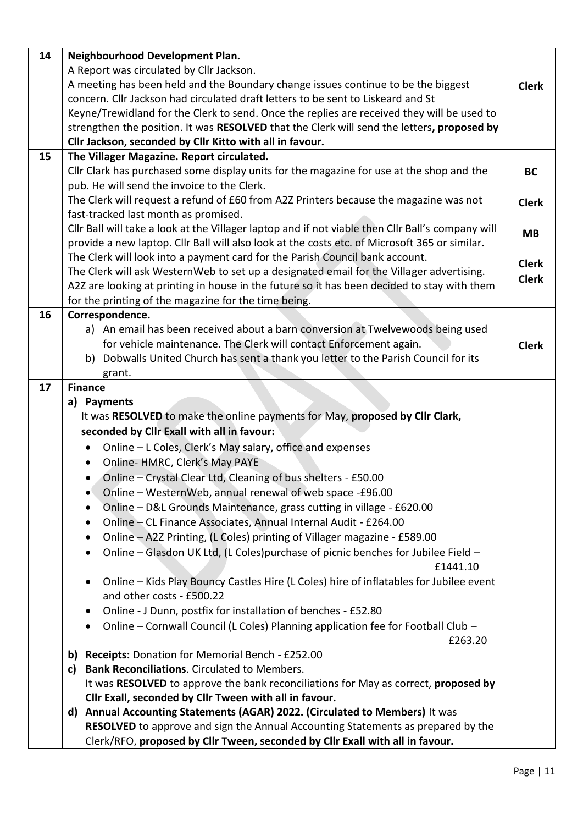| 14 | Neighbourhood Development Plan.                                                                     |              |
|----|-----------------------------------------------------------------------------------------------------|--------------|
|    | A Report was circulated by Cllr Jackson.                                                            |              |
|    | A meeting has been held and the Boundary change issues continue to be the biggest                   | <b>Clerk</b> |
|    | concern. Cllr Jackson had circulated draft letters to be sent to Liskeard and St                    |              |
|    | Keyne/Trewidland for the Clerk to send. Once the replies are received they will be used to          |              |
|    | strengthen the position. It was RESOLVED that the Clerk will send the letters, proposed by          |              |
|    | Cllr Jackson, seconded by Cllr Kitto with all in favour.                                            |              |
| 15 | The Villager Magazine. Report circulated.                                                           |              |
|    | Cllr Clark has purchased some display units for the magazine for use at the shop and the            | <b>BC</b>    |
|    | pub. He will send the invoice to the Clerk.                                                         |              |
|    | The Clerk will request a refund of £60 from A2Z Printers because the magazine was not               | <b>Clerk</b> |
|    | fast-tracked last month as promised.                                                                |              |
|    | Cllr Ball will take a look at the Villager laptop and if not viable then Cllr Ball's company will   | <b>MB</b>    |
|    | provide a new laptop. Cllr Ball will also look at the costs etc. of Microsoft 365 or similar.       |              |
|    | The Clerk will look into a payment card for the Parish Council bank account.                        | <b>Clerk</b> |
|    | The Clerk will ask WesternWeb to set up a designated email for the Villager advertising.            | <b>Clerk</b> |
|    | A2Z are looking at printing in house in the future so it has been decided to stay with them         |              |
|    | for the printing of the magazine for the time being.                                                |              |
| 16 | Correspondence.                                                                                     |              |
|    | a) An email has been received about a barn conversion at Twelvewoods being used                     |              |
|    | for vehicle maintenance. The Clerk will contact Enforcement again.                                  | <b>Clerk</b> |
|    | b) Dobwalls United Church has sent a thank you letter to the Parish Council for its                 |              |
|    | grant.                                                                                              |              |
| 17 | <b>Finance</b>                                                                                      |              |
|    | a) Payments                                                                                         |              |
|    | It was RESOLVED to make the online payments for May, proposed by Cllr Clark,                        |              |
|    | seconded by Clir Exall with all in favour:                                                          |              |
|    | Online - L Coles, Clerk's May salary, office and expenses<br>$\bullet$                              |              |
|    | Online- HMRC, Clerk's May PAYE<br>$\bullet$                                                         |              |
|    | Online - Crystal Clear Ltd, Cleaning of bus shelters - £50.00<br>$\bullet$                          |              |
|    | Online - WesternWeb, annual renewal of web space -£96.00<br>٠                                       |              |
|    | Online - D&L Grounds Maintenance, grass cutting in village - £620.00                                |              |
|    | Online - CL Finance Associates, Annual Internal Audit - £264.00<br>٠                                |              |
|    | Online - A2Z Printing, (L Coles) printing of Villager magazine - £589.00<br>٠                       |              |
|    | Online – Glasdon UK Ltd, (L Coles) purchase of picnic benches for Jubilee Field –<br>٠<br>£1441.10  |              |
|    | Online - Kids Play Bouncy Castles Hire (L Coles) hire of inflatables for Jubilee event<br>$\bullet$ |              |
|    | and other costs - £500.22                                                                           |              |
|    | Online - J Dunn, postfix for installation of benches - £52.80<br>٠                                  |              |
|    | Online - Cornwall Council (L Coles) Planning application fee for Football Club -<br>٠               |              |
|    | £263.20                                                                                             |              |
|    | Receipts: Donation for Memorial Bench - £252.00<br>b)                                               |              |
|    | <b>Bank Reconciliations.</b> Circulated to Members.<br>c)                                           |              |
|    | It was RESOLVED to approve the bank reconciliations for May as correct, proposed by                 |              |
|    | Cllr Exall, seconded by Cllr Tween with all in favour.                                              |              |
|    | d) Annual Accounting Statements (AGAR) 2022. (Circulated to Members) It was                         |              |
|    | RESOLVED to approve and sign the Annual Accounting Statements as prepared by the                    |              |
|    | Clerk/RFO, proposed by Cllr Tween, seconded by Cllr Exall with all in favour.                       |              |